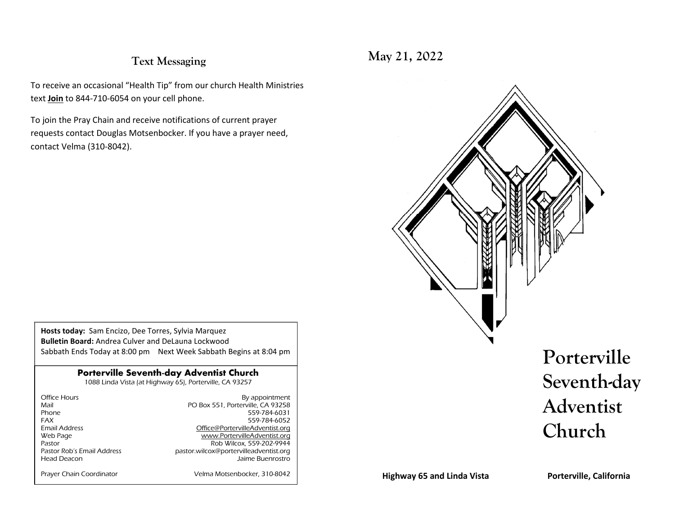#### **Text Messaging**

To receive an occasional "Health Tip" from our church Health Ministries text **Join** to 844-710-6054 on your cell phone.

To join the Pray Chain and receive notifications of current prayer requests contact Douglas Motsenbocker. If you have a prayer need, contact Velma (310-8042).

**Hosts today:** Sam Encizo, Dee Torres, Sylvia Marquez **Bulletin Board:** Andrea Culver and DeLauna Lockwood Sabbath Ends Today at 8:00 pm Next Week Sabbath Begins at 8:04 pm

#### **Porterville Seventh-day Adventist Church**

1088 Linda Vista (at Highway 65), Porterville, CA 93257

| Office Hours               | By appointment                         |
|----------------------------|----------------------------------------|
| Mail                       | PO Box 551, Porterville, CA 93258      |
| Phone                      | 559-784-6031                           |
| <b>FAX</b>                 | 559-784-6052                           |
| <b>Email Address</b>       | Office@PortervilleAdventist.org        |
| Web Page                   | www.PortervilleAdventist.org           |
| Pastor                     | Rob Wilcox, 559-202-9944               |
| Pastor Rob's Email Address | pastor.wilcox@portervilleadventist.org |
| Head Deacon                | Jaime Buenrostro                       |
|                            |                                        |
| Prayer Chain Coordinator   | Velma Motsenbocker, 310-8042           |

**May 21, 2022**



**Highway 65 and Linda Vista**

**Porterville, California**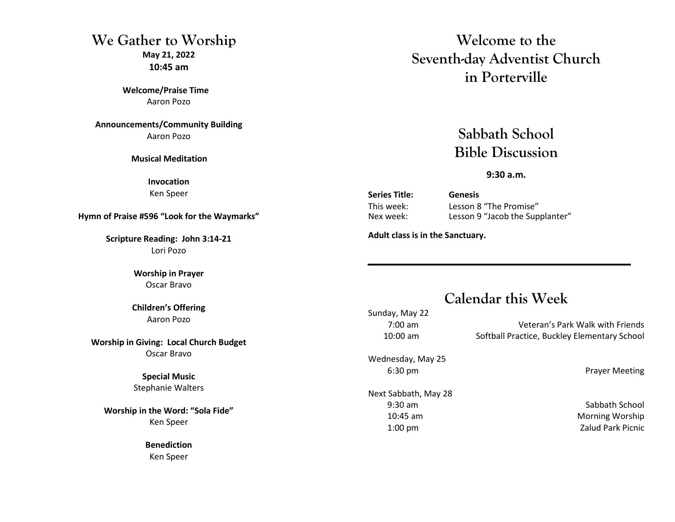# **We Gather to WorshipMay 21, 2022**

**10:45 am** 

**Welcome/Praise Time** Aaron Pozo

**Announcements/Community Building**Aaron Pozo

**Musical Meditation** 

**Invocation** Ken Speer

**Hymn of Praise #596 "Look for the Waymarks"**

**Scripture Reading: John 3:14-21** Lori Pozo

> **Worship in Prayer** Oscar Bravo

**Children's Offering** Aaron Pozo

**Worship in Giving: Local Church Budget**Oscar Bravo

> **Special Music** Stephanie Walters

**Worship in the Word: "Sola Fide"**Ken Speer

> **Benediction** Ken Speer

# **Welcome to the Seventh-day Adventist Church in Porterville**

**Sabbath School Bible Discussion**

**9:30 a.m.**

**Series Title: Genesis**

 This week: Lesson 8 "The Promise" Nex week: Lesson 9 "Jacob the Supplanter"

**Adult class is in the Sanctuary.** 

# **Calendar this Week**

Sunday, May 22

 7:00 am Veteran's Park Walk with Friends 10:00 am Softball Practice, Buckley Elementary School

Wednesday, May 25

Next Sabbath, May 28 9:30 am Sabbath School 10:45 am Morning Worship 1:00 pm Zalud Park Picnic

6:30 pm Prayer Meeting